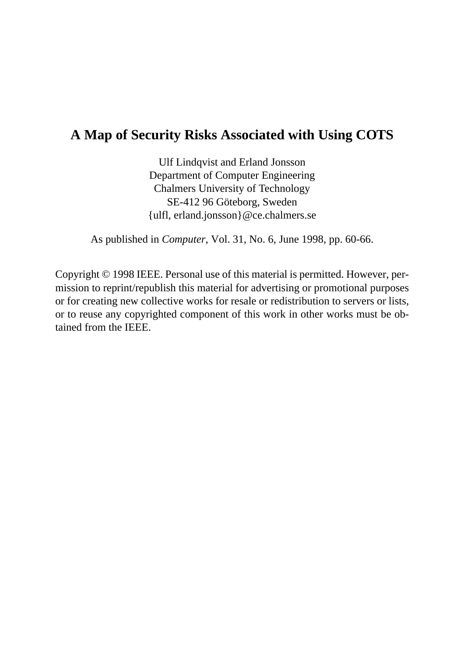### **A Map of Security Risks Associated with Using COTS**

Ulf Lindqvist and Erland Jonsson Department of Computer Engineering Chalmers University of Technology SE-412 96 Göteborg, Sweden {ulfl, erland.jonsson}@ce.chalmers.se

As published in *Computer*, Vol. 31, No. 6, June 1998, pp. 60-66.

Copyright © 1998 IEEE. Personal use of this material is permitted. However, permission to reprint/republish this material for advertising or promotional purposes or for creating new collective works for resale or redistribution to servers or lists, or to reuse any copyrighted component of this work in other works must be obtained from the IEEE.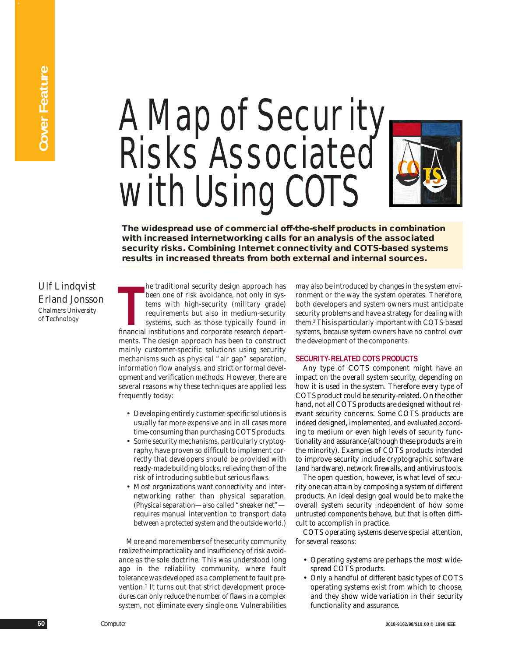## A Map of Security Risks Associated with Using COTS

**The widespread use of commercial off-the-shelf products in combination with increased internetworking calls for an analysis of the associated security risks. Combining Internet connectivity and COTS-based systems results in increased threats from both external and internal sources.** 

# **OF THE TEAM**<br>
Cover Feature Feature<br>
Cover Technology<br>
Technology *Ulf Lindqvist Erland Jonsson* Chalmers University of Technology

**THE FIRM ISSUE ISSUE OF THE AT AN ONE OF THE AT AN ONE OF THE AT AN INSTEDENTI AND THE APPLATION TO THE AND A SURFACE THE AND SUSTAN SURFACE SUPPOSE THE ANNOUNT SUPPOSE THE ANNOUNT SURFACE THE ANNOUNT SUPPOSE THE AN IN SU** he traditional security design approach has been one of risk avoidance, not only in systems with high-security (military grade) requirements but also in medium-security systems, such as those typically found in ments. The design approach has been to construct mainly customer-specific solutions using security mechanisms such as physical "air gap" separation, information flow analysis, and strict or formal development and verification methods. However, there are several reasons why these techniques are applied less frequently today:

- Developing entirely customer-specific solutions is usually far more expensive and in all cases more time-consuming than purchasing COTS products.
- Some security mechanisms, particularly cryptography, have proven so difficult to implement correctly that developers should be provided with ready-made building blocks, relieving them of the risk of introducing subtle but serious flaws.
- Most organizations want connectivity and internetworking rather than physical separation. (Physical separation—also called "sneaker net" requires manual intervention to transport data between a protected system and the outside world.)

More and more members of the security community realize the impracticality and insufficiency of risk avoidance as the sole doctrine. This was understood long ago in the reliability community, where fault tolerance was developed as a complement to fault prevention.1 It turns out that strict development procedures can only *reduce* the number of flaws in a complex system, not eliminate every single one. Vulnerabilities

may also be introduced by changes in the system environment or the way the system operates. Therefore, both developers and system owners must anticipate security problems and have a strategy for dealing with them.2 This is particularly important with COTS-based systems, because system owners have no control over the development of the components.

#### **SECURITY-RELATED COTS PRODUCTS**

Any type of COTS component might have an impact on the overall system security, depending on how it is used in the system. Therefore every type of COTS product could be security-related. On the other hand, not all COTS products are designed without relevant security concerns. Some COTS products are indeed designed, implemented, and evaluated according to medium or even high levels of security functionality and assurance (although these products are in the minority). Examples of COTS products intended to improve security include cryptographic software (and hardware), network firewalls, and antivirus tools.

The open question, however, is what level of security one can attain by composing a system of different products. An ideal design goal would be to make the overall system security independent of how some untrusted components behave, but that is often difficult to accomplish in practice.

COTS operating systems deserve special attention, for several reasons:

- Operating systems are perhaps the most widespread COTS products.
- Only a handful of different basic types of COTS operating systems exist from which to choose, and they show wide variation in their security functionality and assurance.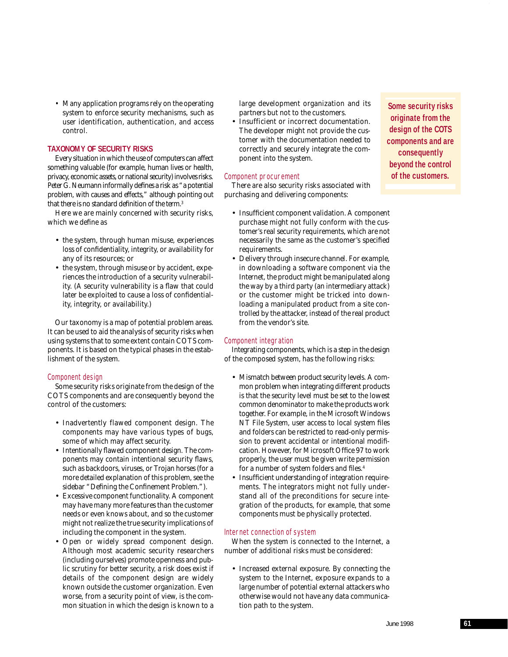• Many application programs rely on the operating system to enforce security mechanisms, such as user identification, authentication, and access control.

#### **TAXONOMY OF SECURITY RISKS**

Every situation in which the use of computers can affect something valuable (for example, human lives or health, privacy, economic assets, or national security) involves risks. Peter G. Neumann informally defines a risk as "a potential problem, with causes and effects," although pointing out that there is no standard definition of the term.<sup>3</sup>

Here we are mainly concerned with security risks, which we define as

- the system, through human misuse, experiences loss of confidentiality, integrity, or availability for any of its resources; or
- the system, through misuse or by accident, experiences the introduction of a security vulnerability. (A security vulnerability is a flaw that could later be exploited to cause a loss of confidentiality, integrity, or availability.)

Our taxonomy is a map of potential problem areas. It can be used to aid the analysis of security risks when using systems that to some extent contain COTS components. It is based on the typical phases in the establishment of the system.

#### Component design

Some security risks originate from the design of the COTS components and are consequently beyond the control of the customers:

- *Inadvertently flawed component design.* The components may have various types of bugs, some of which may affect security.
- *Intentionally flawed component design.* The components may contain intentional security flaws, such as backdoors, viruses, or Trojan horses (for a more detailed explanation of this problem, see the sidebar "Defining the Confinement Problem.").
- *Excessive component functionality.* A component may have many more features than the customer needs or even knows about, and so the customer might not realize the true security implications of including the component in the system.
- *Open or widely spread component design.* Although most academic security researchers (including ourselves) promote openness and public scrutiny for better security, a risk does exist if details of the component design are widely known outside the customer organization. Even worse, from a security point of view, is the common situation in which the design is known to a

large development organization and its partners but not to the customers.

• *Insufficient or incorrect documentation.* The developer might not provide the customer with the documentation needed to correctly and securely integrate the component into the system.

#### Component procurement

There are also security risks associated with purchasing and delivering components:

- *Insufficient component validation.* A component purchase might not fully conform with the customer's *real*security requirements, which are not necessarily the same as the customer's *specified* requirements.
- *Delivery through insecure channel.* For example, in downloading a software component via the Internet, the product might be manipulated along the way by a third party (an intermediary attack) or the customer might be tricked into downloading a manipulated product from a site controlled by the attacker, instead of the real product from the vendor's site.

#### Component integration

Integrating components, which is a step in the design of the composed system, has the following risks:

- *Mismatch between product security levels.* A common problem when integrating different products is that the security level must be set to the lowest common denominator to make the products work together. For example, in the Microsoft Windows NT File System, user access to local system files and folders can be restricted to read-only permission to prevent accidental or intentional modification. However, for Microsoft Office 97 to work properly, the user must be given write permission for a number of system folders and files.<sup>4</sup>
- *Insufficient understanding of integration requirements.* The integrators might not fully understand all of the preconditions for secure integration of the products, for example, that some components must be physically protected.

#### Internet connection of system

When the system is connected to the Internet, a number of additional risks must be considered:

• *Increased external exposure.* By connecting the system to the Internet, exposure expands to a large number of potential external attackers who otherwise would not have any data communication path to the system.

**Some security risks originate from the design of the COTS components and are consequently beyond the control of the customers.**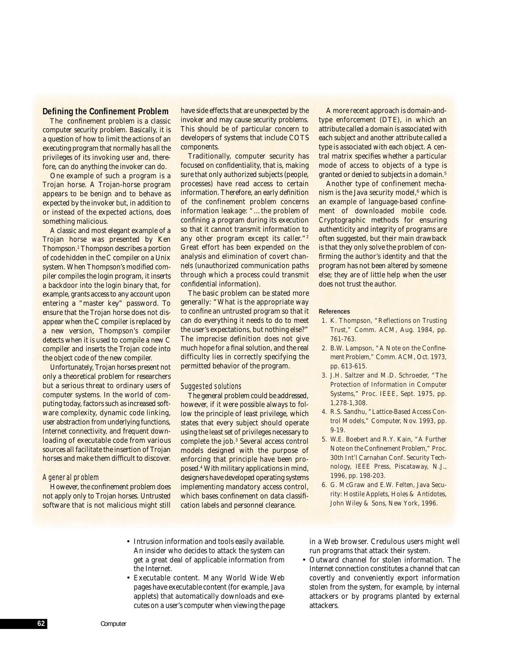#### **Defining the Confinement Problem**

The *confinement problem* is a classic computer security problem. Basically, it is a question of how to limit the actions of an executing program that normally has all the privileges of its invoking user and, therefore, can do anything the invoker can do.

One example of such a program is a Trojan horse. A Trojan-horse program appears to be benign and to behave as expected by the invoker but, in addition to or instead of the expected actions, does something malicious.

A classic and most elegant example of a Trojan horse was presented by Ken Thompson.1 Thompson describes a portion of code hidden in the C compiler on a Unix system. When Thompson's modified compiler compiles the login program, it inserts a backdoor into the login binary that, for example, grants access to any account upon entering a "master key" password. To ensure that the Trojan horse does not disappear when the C compiler is replaced by a new version, Thompson's compiler detects when it is used to compile a new C compiler and inserts the Trojan code into the object code of the new compiler.

Unfortunately, Trojan horses present not only a theoretical problem for researchers but a serious threat to ordinary users of computer systems. In the world of computing today, factors such as increased software complexity, dynamic code linking, user abstraction from underlying functions, Internet connectivity, and frequent downloading of executable code from various sources all facilitate the insertion of Trojan horses and make them difficult to discover.

#### A general problem

However, the confinement problem does not apply only to Trojan horses. Untrusted software that is not malicious might still have side effects that are unexpected by the invoker and may cause security problems. This should be of particular concern to developers of systems that include COTS components.

Traditionally, computer security has focused on confidentiality, that is, making sure that only authorized subjects (people, processes) have read access to certain information. Therefore, an early definition of the confinement problem concerns information leakage: "…the problem of confining a program during its execution so that it cannot transmit information to any other program except its caller."2 Great effort has been expended on the analysis and elimination of covert channels (unauthorized communication paths through which a process could transmit confidential information).

The basic problem can be stated more generally: "What is the appropriate way to confine an untrusted program so that it can do everything it needs to do to meet the user's expectations, but nothing else?" The imprecise definition does not give much hope for a final solution, and the real difficulty lies in correctly specifying the permitted behavior of the program.

#### Suggested solutions

The general problem could be addressed, however, if it were possible always to follow the principle of least privilege, which states that every subject should operate using the least set of privileges necessary to complete the job.3 Several access control models designed with the purpose of enforcing that principle have been proposed.4 With military applications in mind, designers have developed operating systems implementing *mandatory access control*, which bases confinement on data classification labels and personnel clearance.

A more recent approach is *domain-andtype enforcement* (DTE), in which an attribute called a domain is associated with each subject and another attribute called a type is associated with each object. A central matrix specifies whether a particular mode of access to objects of a type is granted or denied to subjects in a domain.<sup>5</sup>

Another type of confinement mechanism is the Java security model,<sup>6</sup> which is an example of language-based confinement of downloaded mobile code. Cryptographic methods for ensuring authenticity and integrity of programs are often suggested, but their main drawback is that they only solve the problem of confirming the author's identity and that the program has not been altered by someone else; they are of little help when the user does not trust the author.

#### **References**

- 1. K. Thompson, "Reflections on Trusting Trust," *Comm. ACM,* Aug. 1984, pp. 761-763.
- 2. B.W. Lampson, "A Note on the Confinement Problem," *Comm. ACM,* Oct. 1973, pp. 613-615.
- 3. J.H. Saltzer and M.D. Schroeder, "The Protection of Information in Computer Systems," *Proc. IEEE,* Sept. 1975, pp. 1,278-1,308.
- 4. R.S. Sandhu, "Lattice-Based Access Control Models," *Computer,* Nov. 1993, pp. 9-19.
- 5. W.E. Boebert and R.Y. Kain, "A Further Note on the Confinement Problem," *Proc. 30th Int'l Carnahan Conf. Security Technology,* IEEE Press, Piscataway, N.J., 1996, pp. 198-203.
- 6. G. McGraw and E.W. Felten, *Java Security: Hostile Applets, Holes & Antidotes,* John Wiley & Sons, New York, 1996.
- *Intrusion information and tools easily available*. An insider who decides to attack the system can get a great deal of applicable information from the Internet.
- *Executable content*. Many World Wide Web pages have executable content (for example, Java applets) that automatically downloads and executes on a user's computer when viewing the page

in a Web browser. Credulous users might well run programs that attack their system.

• *Outward channel for stolen information.* The Internet connection constitutes a channel that can covertly and conveniently export information stolen from the system, for example, by internal attackers or by programs planted by external attackers.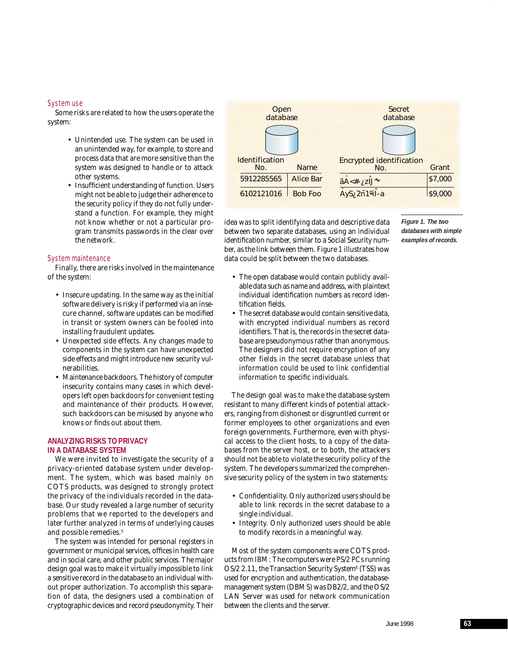#### System use

Some risks are related to how the users operate the system:

- *Unintended use.* The system can be used in an unintended way, for example, to store and process data that are more sensitive than the system was designed to handle or to attack other systems.
- *Insufficient understanding of function.* Users might not be able to judge their adherence to the security policy if they do not fully understand a function. For example, they might not know whether or not a particular program transmits passwords in the clear over the network.

#### System maintenance

Finally, there are risks involved in the maintenance of the system:

- *Insecure updating.* In the same way as the initial software delivery is risky if performed via an insecure channel, software updates can be modified in transit or system owners can be fooled into installing fraudulent updates.
- *Unexpected side effects.* Any changes made to components in the system can have unexpected side effects and might introduce new security vulnerabilities.
- *Maintenance backdoors.* The history of computer insecurity contains many cases in which developers left open backdoors for convenient testing and maintenance of their products. However, such backdoors can be misused by anyone who knows or finds out about them.

#### **ANALYZING RISKS TO PRIVACY IN A DATABASE SYSTEM**

We were invited to investigate the security of a privacy-oriented database system under development. The system, which was based mainly on COTS products, was designed to strongly protect the privacy of the individuals recorded in the database. Our study revealed a large number of security problems that we reported to the developers and later further analyzed in terms of underlying causes and possible remedies.<sup>5</sup>

The system was intended for personal registers in government or municipal services, offices in health care and in social care, and other public services. The major design goal was to make it virtually impossible to link a sensitive record in the database to an individual without proper authorization. To accomplish this separation of data, the designers used a combination of cryptographic devices and record pseudonymity. Their



idea was to split identifying data and descriptive data between two separate databases, using an individual identification number, similar to a Social Security number, as the link between them. Figure 1 illustrates how data could be split between the two databases.

**Figure 1. The two databases with simple examples of records.**

- The *open database* would contain publicly available data such as name and address, with plaintext individual identification numbers as record identification fields.
- The *secret database* would contain sensitive data, with encrypted individual numbers as record identifiers. That is, the records in the secret database are pseudonymous rather than anonymous. The designers did not require encryption of any other fields in the secret database unless that information could be used to link confidential information to specific individuals.

The design goal was to make the database system resistant to many different kinds of potential attackers, ranging from dishonest or disgruntled current or former employees to other organizations and even foreign governments. Furthermore, even with physical access to the client hosts, to a copy of the databases from the server host, or to both, the attackers should not be able to violate the security policy of the system. The developers summarized the comprehensive security policy of the system in two statements:

- *Confidentiality.* Only authorized users should be able to link records in the secret database to a single individual.
- *Integrity.* Only authorized users should be able to modify records in a meaningful way.

Most of the system components were COTS products from IBM: The computers were PS/2 PCs running OS/2 2.11, the Transaction Security System<sup>6</sup> (TSS) was used for encryption and authentication, the databasemanagement system (DBMS) was DB2/2, and the OS/2 LAN Server was used for network communication between the clients and the server.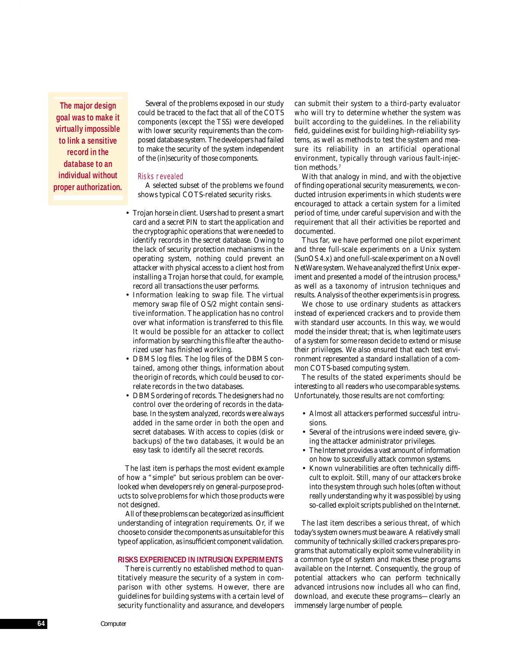**The major design goal was to make it virtually impossible to link a sensitive record in the database to an individual without proper authorization.**

Several of the problems exposed in our study could be traced to the fact that all of the COTS components (except the TSS) were developed with lower security requirements than the composed database system. The developers had failed to make the security of the system independent of the (in)security of those components.

#### Risks revealed

A selected subset of the problems we found shows typical COTS-related security risks.

- *Trojan horse in client.* Users had to present a smart card and a secret PIN to start the application and the cryptographic operations that were needed to identify records in the secret database. Owing to the lack of security protection mechanisms in the operating system, nothing could prevent an attacker with physical access to a client host from installing a Trojan horse that could, for example, record all transactions the user performs.
- *Information leaking to swap file.* The virtual memory swap file of OS/2 might contain sensitive information. The application has no control over what information is transferred to this file. It would be possible for an attacker to collect information by searching this file after the authorized user has finished working.
- *DBMS log files.* The log files of the DBMS contained, among other things, information about the origin of records, which could be used to correlate records in the two databases.
- *DBMS ordering of records.* The designers had no control over the ordering of records in the database. In the system analyzed, records were always added in the same order in both the open and secret databases. With access to copies (disk or backups) of the two databases, it would be an easy task to identify all the secret records.

The last item is perhaps the most evident example of how a "simple" but serious problem can be overlooked when developers rely on general-purpose products to solve problems for which those products were not designed.

All of these problems can be categorized as insufficient understanding of integration requirements. Or, if we choose to consider the components as unsuitable for this type of application, as insufficient component validation.

#### **RISKS EXPERIENCED IN INTRUSION EXPERIMENTS**

There is currently no established method to quantitatively measure the security of a system in comparison with other systems. However, there are guidelines for building systems with a certain level of security functionality and assurance, and developers can submit their system to a third-party evaluator who will try to determine whether the system was built according to the guidelines. In the reliability field, guidelines exist for building high-reliability systems, as well as methods to test the system and measure its reliability in an artificial operational environment, typically through various fault-injection methods.7

With that analogy in mind, and with the objective of finding operational security measurements, we conducted intrusion experiments in which students were encouraged to attack a certain system for a limited period of time, under careful supervision and with the requirement that all their activities be reported and documented.

Thus far, we have performed one pilot experiment and three full-scale experiments on a Unix system (SunOS 4.*x*) and one full-scale experiment on a Novell NetWare system. We have analyzed the first Unix experiment and presented a model of the intrusion process,<sup>8</sup> as well as a taxonomy of intrusion techniques and results. Analysis of the other experiments is in progress.

We chose to use ordinary students as attackers instead of experienced crackers and to provide them with standard user accounts. In this way, we would model the insider threat; that is, when legitimate users of a system for some reason decide to extend or misuse their privileges. We also ensured that each test environment represented a standard installation of a common COTS-based computing system.

The results of the stated experiments should be interesting to all readers who use comparable systems. Unfortunately, those results are not comforting:

- Almost all attackers performed successful intrusions.
- Several of the intrusions were indeed severe, giving the attacker administrator privileges.
- The Internet provides a vast amount of information on how to successfully attack common systems.
- Known vulnerabilities are often technically difficult to exploit. Still, many of our attackers broke into the system through such holes (often without really understanding why it was possible) by using so-called *exploit scripts* published on the Internet.

The last item describes a serious threat, of which today's system owners must be aware. A relatively small community of technically skilled crackers prepares programs that automatically exploit some vulnerability in a common type of system and makes these programs available on the Internet. Consequently, the group of potential attackers who can perform technically advanced intrusions now includes all who can find, download, and execute these programs—clearly an immensely large number of people.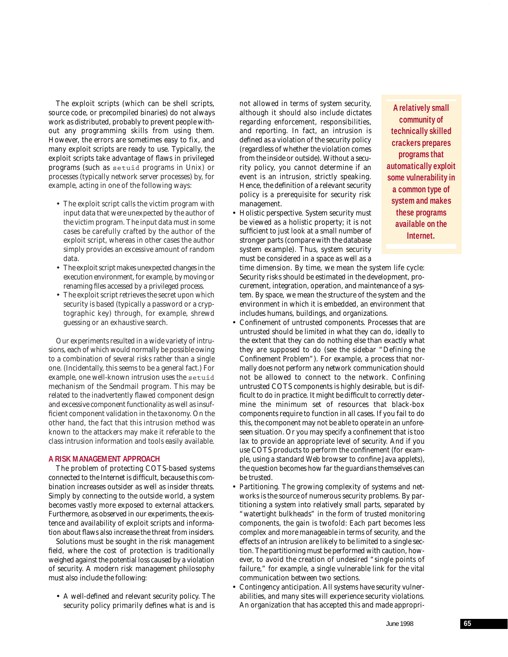The exploit scripts (which can be shell scripts, source code, or precompiled binaries) do not always work as distributed, probably to prevent people without any programming skills from using them. However, the errors are sometimes easy to fix, and many exploit scripts are ready to use. Typically, the exploit scripts take advantage of flaws in privileged programs (such as **setuid** programs in Unix) or processes (typically network server processes) by, for example, acting in one of the following ways:

- The exploit script calls the victim program with input data that were unexpected by the author of the victim program. The input data must in some cases be carefully crafted by the author of the exploit script, whereas in other cases the author simply provides an excessive amount of random data.
- The exploit script makes unexpected changes in the execution environment, for example, by moving or renaming files accessed by a privileged process.
- The exploit script retrieves the secret upon which security is based (typically a password or a cryptographic key) through, for example, shrewd guessing or an exhaustive search.

Our experiments resulted in a wide variety of intrusions, each of which would normally be possible owing to a combination of several risks rather than a single one. (Incidentally, this seems to be a general fact.) For example, one well-known intrusion uses the **setuid** mechanism of the Sendmail program. This may be related to the inadvertently flawed component design and excessive component functionality as well as insufficient component validation in the taxonomy. On the other hand, the fact that this intrusion method was known to the attackers may make it referable to the class intrusion information and tools easily available.

#### **A RISK MANAGEMENT APPROACH**

The problem of protecting COTS-based systems connected to the Internet is difficult, because this combination increases outsider as well as insider threats. Simply by connecting to the outside world, a system becomes vastly more exposed to external attackers. Furthermore, as observed in our experiments, the existence and availability of exploit scripts and information about flaws also increase the threat from insiders.

Solutions must be sought in the risk management field, where the cost of protection is traditionally weighed against the potential loss caused by a violation of security. A modern risk management philosophy must also include the following:

• *A well-defined and relevant security policy.* The security policy primarily defines what is and is not allowed in terms of system security, although it should also include dictates regarding enforcement, responsibilities, and reporting. In fact, an intrusion is defined as a violation of the security policy (regardless of whether the violation comes from the inside or outside). Without a security policy, you cannot determine if an event is an intrusion, strictly speaking. Hence, the definition of a relevant security policy is a prerequisite for security risk management.

• *Holistic perspective.* System security must be viewed as a holistic property; it is not sufficient to just look at a small number of stronger parts (compare with the database system example). Thus, system security must be considered in a space as well as a

time dimension. By time, we mean the system life cycle: Security risks should be estimated in the development, procurement, integration, operation, and maintenance of a system. By space, we mean the structure of the system and the environment in which it is embedded, an environment that includes humans, buildings, and organizations.

- *Confinement of untrusted components.* Processes that are untrusted should be limited in what they can do, ideally to the extent that they can do nothing else than exactly what they are supposed to do (see the sidebar "Defining the Confinement Problem"). For example, a process that normally does not perform any network communication should not be allowed to connect to the network. Confining untrusted COTS components is highly desirable, but is difficult to do in practice. It might be difficult to correctly determine the minimum set of resources that black-box components require to function in all cases. If you fail to do this, the component may not be able to operate in an unforeseen situation. Or you may specify a confinement that is too lax to provide an appropriate level of security. And if you use COTS products to perform the confinement (for example, using a standard Web browser to confine Java applets), the question becomes how far the guardians themselves can be trusted.
- *Partitioning.* The growing complexity of systems and networks is the source of numerous security problems. By partitioning a system into relatively small parts, separated by "watertight bulkheads" in the form of trusted monitoring components, the gain is twofold: Each part becomes less complex and more manageable in terms of security, and the effects of an intrusion are likely to be limited to a single section. The partitioning must be performed with caution, however, to avoid the creation of undesired "single points of failure," for example, a single vulnerable link for the vital communication between two sections.
- *Contingency anticipation.* All systems have security vulnerabilities, and many sites will experience security violations. An organization that has accepted this and made appropri-

**A relatively small community of technically skilled crackers prepares programs that automatically exploit some vulnerability in a common type of system and makes these programs available on the Internet.**